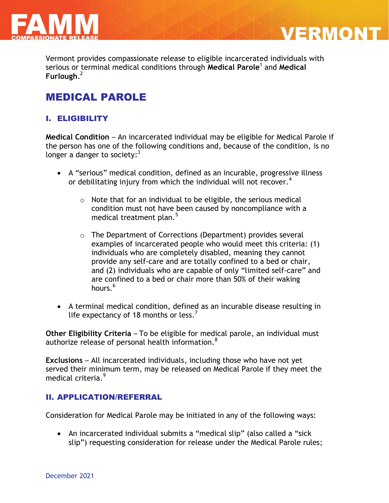



Vermont provides compassionate release to eligible incarcerated individuals with serious or terminal medical conditions through **Medical Parole**<sup>1</sup> and **Medical Furlough**. 2

# MEDICAL PAROLE

## I. ELIGIBILITY

**Medical Condition** – An incarcerated individual may be eligible for Medical Parole if the person has one of the following conditions and, because of the condition, is no longer a danger to society: $^3$ 

- A "serious" medical condition, defined as an incurable, progressive illness or debilitating injury from which the individual will not recover.<sup>4</sup>
	- o Note that for an individual to be eligible, the serious medical condition must not have been caused by noncompliance with a medical treatment plan. $5$
	- o The Department of Corrections (Department) provides several examples of incarcerated people who would meet this criteria: (1) individuals who are completely disabled, meaning they cannot provide any self-care and are totally confined to a bed or chair, and (2) individuals who are capable of only "limited self-care" and are confined to a bed or chair more than 50% of their waking hours  $6$
- A terminal medical condition, defined as an incurable disease resulting in life expectancy of 18 months or less.<sup>7</sup>

**Other Eligibility Criteria** – To be eligible for medical parole, an individual must authorize release of personal health information.<sup>8</sup>

**Exclusions** – All incarcerated individuals, including those who have not yet served their minimum term, may be released on Medical Parole if they meet the medical criteria.<sup>9</sup>

## II. APPLICATION/REFERRAL

Consideration for Medical Parole may be initiated in any of the following ways:

• An incarcerated individual submits a "medical slip" (also called a "sick slip") requesting consideration for release under the Medical Parole rules;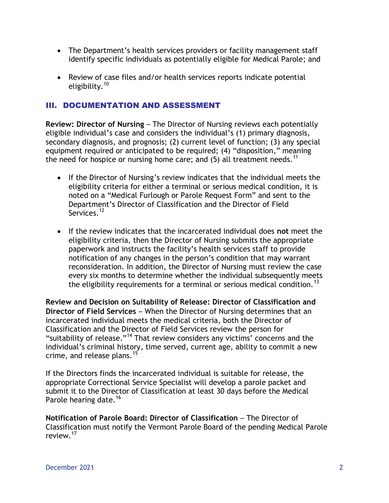- The Department's health services providers or facility management staff identify specific individuals as potentially eligible for Medical Parole; and
- Review of case files and/or health services reports indicate potential eligibility.<sup>10</sup>

## III. DOCUMENTATION AND ASSESSMENT

**Review: Director of Nursing** – The Director of Nursing reviews each potentially eligible individual's case and considers the individual's (1) primary diagnosis, secondary diagnosis, and prognosis; (2) current level of function; (3) any special equipment required or anticipated to be required; (4) "disposition," meaning the need for hospice or nursing home care; and  $(5)$  all treatment needs.<sup>11</sup>

- If the Director of Nursing's review indicates that the individual meets the eligibility criteria for either a terminal or serious medical condition, it is noted on a "Medical Furlough or Parole Request Form" and sent to the Department's Director of Classification and the Director of Field Services.<sup>12</sup>
- If the review indicates that the incarcerated individual does **not** meet the eligibility criteria, then the Director of Nursing submits the appropriate paperwork and instructs the facility's health services staff to provide notification of any changes in the person's condition that may warrant reconsideration. In addition, the Director of Nursing must review the case every six months to determine whether the individual subsequently meets the eligibility requirements for a terminal or serious medical condition.<sup>13</sup>

**Review and Decision on Suitability of Release: Director of Classification and Director of Field Services** – When the Director of Nursing determines that an incarcerated individual meets the medical criteria, both the Director of Classification and the Director of Field Services review the person for "suitability of release."<sup>14</sup> That review considers any victims' concerns and the individual's criminal history, time served, current age, ability to commit a new crime, and release plans.<sup>15</sup>

If the Directors finds the incarcerated individual is suitable for release, the appropriate Correctional Service Specialist will develop a parole packet and submit it to the Director of Classification at least 30 days before the Medical Parole hearing date.<sup>16</sup>

**Notification of Parole Board: Director of Classification – The Director of** Classification must notify the Vermont Parole Board of the pending Medical Parole review.<sup>17</sup>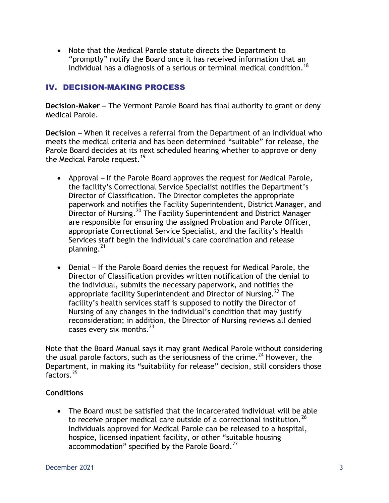Note that the Medical Parole statute directs the Department to "promptly" notify the Board once it has received information that an individual has a diagnosis of a serious or terminal medical condition. 18

## IV. DECISION-MAKING PROCESS

**Decision-Maker** – The Vermont Parole Board has final authority to grant or deny Medical Parole.

**Decision** – When it receives a referral from the Department of an individual who meets the medical criteria and has been determined "suitable" for release, the Parole Board decides at its next scheduled hearing whether to approve or deny the Medical Parole request.<sup>19</sup>

- Approval If the Parole Board approves the request for Medical Parole, the facility's Correctional Service Specialist notifies the Department's Director of Classification. The Director completes the appropriate paperwork and notifies the Facility Superintendent, District Manager, and Director of Nursing.<sup>20</sup> The Facility Superintendent and District Manager are responsible for ensuring the assigned Probation and Parole Officer, appropriate Correctional Service Specialist, and the facility's Health Services staff begin the individual's care coordination and release planning.<sup>21</sup>
- Denial If the Parole Board denies the request for Medical Parole, the Director of Classification provides written notification of the denial to the individual, submits the necessary paperwork, and notifies the appropriate facility Superintendent and Director of Nursing.<sup>22</sup> The facility's health services staff is supposed to notify the Director of Nursing of any changes in the individual's condition that may justify reconsideration; in addition, the Director of Nursing reviews all denied cases every six months. $^{23}$

Note that the Board Manual says it may grant Medical Parole without considering the usual parole factors, such as the seriousness of the crime.<sup>24</sup> However, the Department, in making its "suitability for release" decision, still considers those factors.<sup>25</sup>

## **Conditions**

 The Board must be satisfied that the incarcerated individual will be able to receive proper medical care outside of a correctional institution.  $^{26}$ Individuals approved for Medical Parole can be released to a hospital, hospice, licensed inpatient facility, or other "suitable housing accommodation" specified by the Parole Board. $^{27}$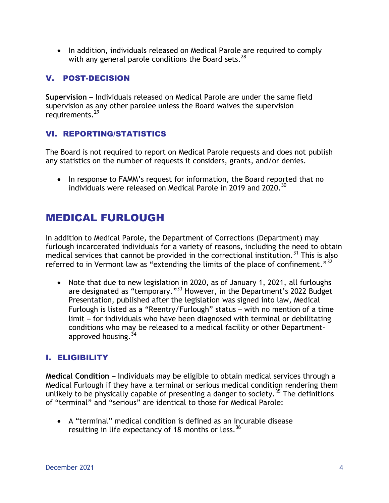• In addition, individuals released on Medical Parole are required to comply with any general parole conditions the Board sets.  $^{28}$ 

## V. POST-DECISION

**Supervision** – Individuals released on Medical Parole are under the same field supervision as any other parolee unless the Board waives the supervision requirements.<sup>29</sup>

## VI. REPORTING/STATISTICS

The Board is not required to report on Medical Parole requests and does not publish any statistics on the number of requests it considers, grants, and/or denies.

• In response to FAMM's request for information, the Board reported that no individuals were released on Medical Parole in 2019 and 2020.<sup>30</sup>

# MEDICAL FURLOUGH

In addition to Medical Parole, the Department of Corrections (Department) may furlough incarcerated individuals for a variety of reasons, including the need to obtain medical services that cannot be provided in the correctional institution.<sup>31</sup> This is also referred to in Vermont law as "extending the limits of the place of confinement."<sup>32</sup>

• Note that due to new legislation in 2020, as of January 1, 2021, all furloughs are designated as "temporary."<sup>33</sup> However, in the Department's 2022 Budget Presentation, published after the legislation was signed into law, Medical Furlough is listed as a "Reentry/Furlough" status – with no mention of a time limit – for individuals who have been diagnosed with terminal or debilitating conditions who may be released to a medical facility or other Departmentapproved housing.  $34$ 

## I. ELIGIBILITY

**Medical Condition** – Individuals may be eligible to obtain medical services through a Medical Furlough if they have a terminal or serious medical condition rendering them unlikely to be physically capable of presenting a danger to society.<sup>35</sup> The definitions of "terminal" and "serious" are identical to those for Medical Parole:

 A "terminal" medical condition is defined as an incurable disease resulting in life expectancy of 18 months or less.  $^{36}$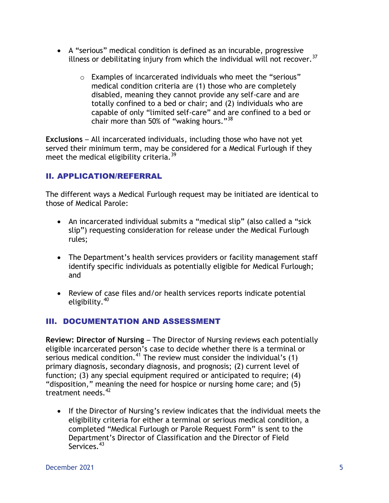- A "serious" medical condition is defined as an incurable, progressive illness or debilitating injury from which the individual will not recover. $37$ 
	- o Examples of incarcerated individuals who meet the "serious" medical condition criteria are (1) those who are completely disabled, meaning they cannot provide any self-care and are totally confined to a bed or chair; and (2) individuals who are capable of only "limited self-care" and are confined to a bed or chair more than 50% of "waking hours."<sup>38</sup>

**Exclusions** – All incarcerated individuals, including those who have not yet served their minimum term, may be considered for a Medical Furlough if they meet the medical eligibility criteria.<sup>39</sup>

## II. APPLICATION/REFERRAL

The different ways a Medical Furlough request may be initiated are identical to those of Medical Parole:

- An incarcerated individual submits a "medical slip" (also called a "sick slip") requesting consideration for release under the Medical Furlough rules;
- The Department's health services providers or facility management staff identify specific individuals as potentially eligible for Medical Furlough; and
- Review of case files and/or health services reports indicate potential eligibility. $40$

## III. DOCUMENTATION AND ASSESSMENT

**Review: Director of Nursing** – The Director of Nursing reviews each potentially eligible incarcerated person's case to decide whether there is a terminal or serious medical condition.<sup>41</sup> The review must consider the individual's (1) primary diagnosis, secondary diagnosis, and prognosis; (2) current level of function; (3) any special equipment required or anticipated to require; (4) "disposition," meaning the need for hospice or nursing home care; and (5) treatment needs.<sup>42</sup>

• If the Director of Nursing's review indicates that the individual meets the eligibility criteria for either a terminal or serious medical condition, a completed "Medical Furlough or Parole Request Form" is sent to the Department's Director of Classification and the Director of Field Services.<sup>43</sup>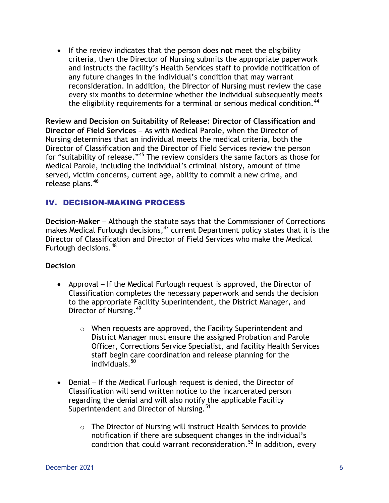If the review indicates that the person does **not** meet the eligibility criteria, then the Director of Nursing submits the appropriate paperwork and instructs the facility's Health Services staff to provide notification of any future changes in the individual's condition that may warrant reconsideration. In addition, the Director of Nursing must review the case every six months to determine whether the individual subsequently meets the eligibility requirements for a terminal or serious medical condition.<sup>44</sup>

**Review and Decision on Suitability of Release: Director of Classification and Director of Field Services** – As with Medical Parole, when the Director of Nursing determines that an individual meets the medical criteria, both the Director of Classification and the Director of Field Services review the person for "suitability of release."<sup>45</sup> The review considers the same factors as those for Medical Parole, including the individual's criminal history, amount of time served, victim concerns, current age, ability to commit a new crime, and release plans.<sup>46</sup>

## IV. DECISION-MAKING PROCESS

**Decision-Maker** – Although the statute says that the Commissioner of Corrections makes Medical Furlough decisions, <sup>47</sup> current Department policy states that it is the Director of Classification and Director of Field Services who make the Medical Furlough decisions.<sup>48</sup>

### **Decision**

- Approval If the Medical Furlough request is approved, the Director of Classification completes the necessary paperwork and sends the decision to the appropriate Facility Superintendent, the District Manager, and Director of Nursing.<sup>49</sup>
	- o When requests are approved, the Facility Superintendent and District Manager must ensure the assigned Probation and Parole Officer, Corrections Service Specialist, and facility Health Services staff begin care coordination and release planning for the individuals. 50
- Denial If the Medical Furlough request is denied, the Director of Classification will send written notice to the incarcerated person regarding the denial and will also notify the applicable Facility Superintendent and Director of Nursing.<sup>51</sup>
	- o The Director of Nursing will instruct Health Services to provide notification if there are subsequent changes in the individual's condition that could warrant reconsideration.<sup>52</sup> In addition, every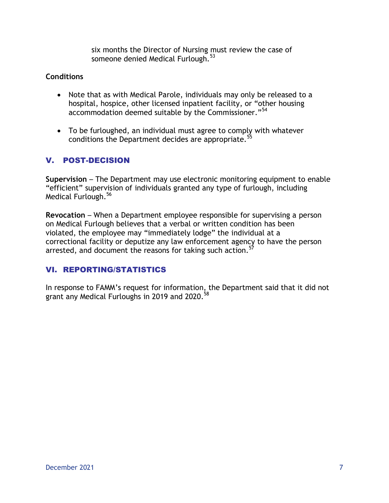six months the Director of Nursing must review the case of someone denied Medical Furlough.<sup>53</sup>

### **Conditions**

- Note that as with Medical Parole, individuals may only be released to a hospital, hospice, other licensed inpatient facility, or "other housing accommodation deemed suitable by the Commissioner."<sup>54</sup>
- To be furloughed, an individual must agree to comply with whatever conditions the Department decides are appropriate.<sup>5</sup>

## V. POST-DECISION

**Supervision** – The Department may use electronic monitoring equipment to enable "efficient" supervision of individuals granted any type of furlough, including Medical Furlough.<sup>56</sup>

**Revocation** – When a Department employee responsible for supervising a person on Medical Furlough believes that a verbal or written condition has been violated, the employee may "immediately lodge" the individual at a correctional facility or deputize any law enforcement agency to have the person arrested, and document the reasons for taking such action.<sup>57</sup>

## VI. REPORTING/STATISTICS

In response to FAMM's request for information, the Department said that it did not grant any Medical Furloughs in 2019 and 2020.<sup>58</sup>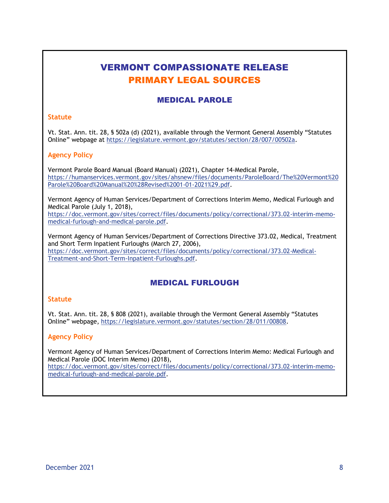# VERMONT COMPASSIONATE RELEASE PRIMARY LEGAL SOURCES

## MEDICAL PAROLE

#### **Statute**

Vt. Stat. Ann. tit. 28, § 502a (d) (2021), available through the Vermont General Assembly "Statutes Online" webpage at [https://legislature.vermont.gov/statutes/section/28/007/00502a.](https://legislature.vermont.gov/statutes/section/28/007/00502a)

### **Agency Policy**

Vermont Parole Board Manual (Board Manual) (2021), Chapter 14-Medical Parole, https://humanservices.vermont.gov/sites/ahsnew/files/documents/ParoleBoard/The%20Vermont%20 Parole%20Board%20Manual%20%28Revised%2001-01-2021%29.pdf.

Vermont Agency of Human Services/Department of Corrections Interim Memo, Medical Furlough and Medical Parole (July 1, 2018),

[https://doc.vermont.gov/sites/correct/files/documents/policy/correctional/373.02-interim-memo](https://doc.vermont.gov/sites/correct/files/documents/policy/correctional/373.02-interim-memo-medical-furlough-and-medical-parole.pdf)[medical-furlough-and-medical-parole.pdf.](https://doc.vermont.gov/sites/correct/files/documents/policy/correctional/373.02-interim-memo-medical-furlough-and-medical-parole.pdf)

Vermont Agency of Human Services/Department of Corrections Directive 373.02, Medical, Treatment and Short Term Inpatient Furloughs (March 27, 2006),

[https://doc.vermont.gov/sites/correct/files/documents/policy/correctional/373.02-Medical-](https://doc.vermont.gov/sites/correct/files/documents/policy/correctional/373.02-Medical-Treatment-and-Short-Term-Inpatient-Furloughs.pdf)[Treatment-and-Short-Term-Inpatient-Furloughs.pdf.](https://doc.vermont.gov/sites/correct/files/documents/policy/correctional/373.02-Medical-Treatment-and-Short-Term-Inpatient-Furloughs.pdf)

### MEDICAL FURLOUGH

#### **Statute**

Vt. Stat. Ann. tit. 28, § 808 (2021), available through the Vermont General Assembly "Statutes Online" webpage, [https://legislature.vermont.gov/statutes/section/28/011/00808.](https://legislature.vermont.gov/statutes/section/28/011/00808)

#### **Agency Policy**

Vermont Agency of Human Services/Department of Corrections Interim Memo: Medical Furlough and Medical Parole (DOC Interim Memo) (2018),

[https://doc.vermont.gov/sites/correct/files/documents/policy/correctional/373.02-interim-memo](https://doc.vermont.gov/sites/correct/files/documents/policy/correctional/373.02-interim-memo-medical-furlough-and-medical-parole.pdf)[medical-furlough-and-medical-parole.pdf.](https://doc.vermont.gov/sites/correct/files/documents/policy/correctional/373.02-interim-memo-medical-furlough-and-medical-parole.pdf)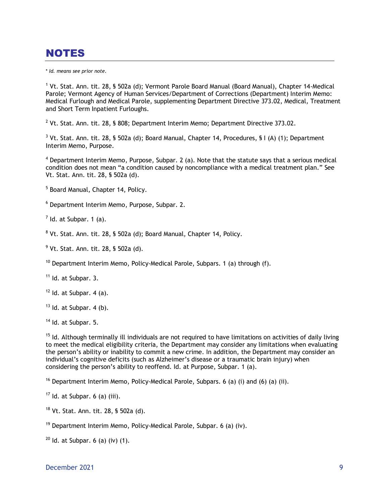# **NOTES**

\* *Id. means see prior note.*

<sup>1</sup> Vt. Stat. Ann. tit. 28, § 502a (d); Vermont Parole Board Manual (Board Manual), Chapter 14-Medical Parole; Vermont Agency of Human Services/Department of Corrections (Department) Interim Memo: Medical Furlough and Medical Parole, supplementing Department Directive 373.02, Medical, Treatment and Short Term Inpatient Furloughs.

 $^2$  Vt. Stat. Ann. tit. 28, § 808; Department Interim Memo; Department Directive 373.02.

 $3$  Vt. Stat. Ann. tit. 28, § 502a (d); Board Manual, Chapter 14, Procedures, § I (A) (1); Department Interim Memo, Purpose.

 $4$  Department Interim Memo, Purpose, Subpar. 2 (a). Note that the statute says that a serious medical condition does not mean "a condition caused by noncompliance with a medical treatment plan." See Vt. Stat. Ann. tit. 28, § 502a (d).

<sup>5</sup> Board Manual, Chapter 14, Policy.

<sup>6</sup> Department Interim Memo, Purpose, Subpar. 2.

 $<sup>7</sup>$  Id. at Subpar. 1 (a).</sup>

<sup>8</sup> Vt. Stat. Ann. tit. 28, § 502a (d); Board Manual, Chapter 14, Policy.

 $^{9}$  Vt. Stat. Ann. tit. 28, § 502a (d).

<sup>10</sup> Department Interim Memo, Policy-Medical Parole, Subpars. 1 (a) through (f).

 $11$  Id. at Subpar. 3.

 $12$  Id. at Subpar. 4 (a).

 $13$  Id. at Subpar. 4 (b).

<sup>14</sup> Id. at Subpar. 5.

<sup>15</sup> Id. Although terminally ill individuals are not required to have limitations on activities of daily living to meet the medical eligibility criteria, the Department may consider any limitations when evaluating the person's ability or inability to commit a new crime. In addition, the Department may consider an individual's cognitive deficits (such as Alzheimer's disease or a traumatic brain injury) when considering the person's ability to reoffend. Id. at Purpose, Subpar. 1 (a).

<sup>16</sup> Department Interim Memo, Policy-Medical Parole, Subpars. 6 (a) (i) and (6) (a) (ii).

 $17$  Id. at Subpar. 6 (a) (iii).

 $18$  Vt. Stat. Ann. tit. 28, § 502a (d).

<sup>19</sup> Department Interim Memo, Policy-Medical Parole, Subpar. 6 (a) (iv).

 $20$  Id. at Subpar. 6 (a) (iv) (1).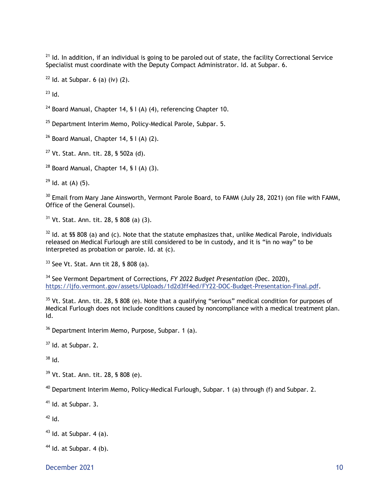$21$  Id. In addition, if an individual is going to be paroled out of state, the facility Correctional Service Specialist must coordinate with the Deputy Compact Administrator. Id. at Subpar. 6.

 $22$  Id. at Subpar. 6 (a) (iv) (2).

 $^{23}$  Id.

<sup>24</sup> Board Manual, Chapter 14, § I (A) (4), referencing Chapter 10.

<sup>25</sup> Department Interim Memo, Policy-Medical Parole, Subpar, 5.

 $26$  Board Manual, Chapter 14, § I (A) (2).

 $27$  Vt. Stat. Ann. tit. 28, § 502a (d).

 $28$  Board Manual, Chapter 14, § I (A) (3).

 $29$  Id. at (A) (5).

<sup>30</sup> Email from Mary Jane Ainsworth, Vermont Parole Board, to FAMM (July 28, 2021) (on file with FAMM, Office of the General Counsel).

<sup>31</sup> Vt. Stat. Ann. tit. 28, § 808 (a) (3).

 $32$  Id. at §§ 808 (a) and (c). Note that the statute emphasizes that, unlike Medical Parole, individuals released on Medical Furlough are still considered to be in custody, and it is "in no way" to be interpreted as probation or parole. Id. at (c).

<sup>33</sup> See Vt. Stat. Ann tit 28, § 808 (a).

<sup>34</sup> See Vermont Department of Corrections, *FY 2022 Budget Presentation* (Dec. 2020), [https://ljfo.vermont.gov/assets/Uploads/1d2d3ff4ed/FY22-DOC-Budget-Presentation-Final.pdf.](https://ljfo.vermont.gov/assets/Uploads/1d2d3ff4ed/FY22-DOC-Budget-Presentation-Final.pdf)

 $35$  Vt. Stat. Ann. tit. 28, § 808 (e). Note that a qualifying "serious" medical condition for purposes of Medical Furlough does not include conditions caused by noncompliance with a medical treatment plan. Id.

<sup>36</sup> Department Interim Memo, Purpose, Subpar. 1 (a).

 $37$  Id. at Subpar. 2.

 $38$  Id.

<sup>39</sup> Vt. Stat. Ann. tit. 28, § 808 (e).

 $40$  Department Interim Memo, Policy-Medical Furlough, Subpar. 1 (a) through (f) and Subpar. 2.

<sup>41</sup> Id. at Subpar. 3.

 $42$  Id.

 $43$  Id. at Subpar. 4 (a).

 $44$  Id. at Subpar. 4 (b).